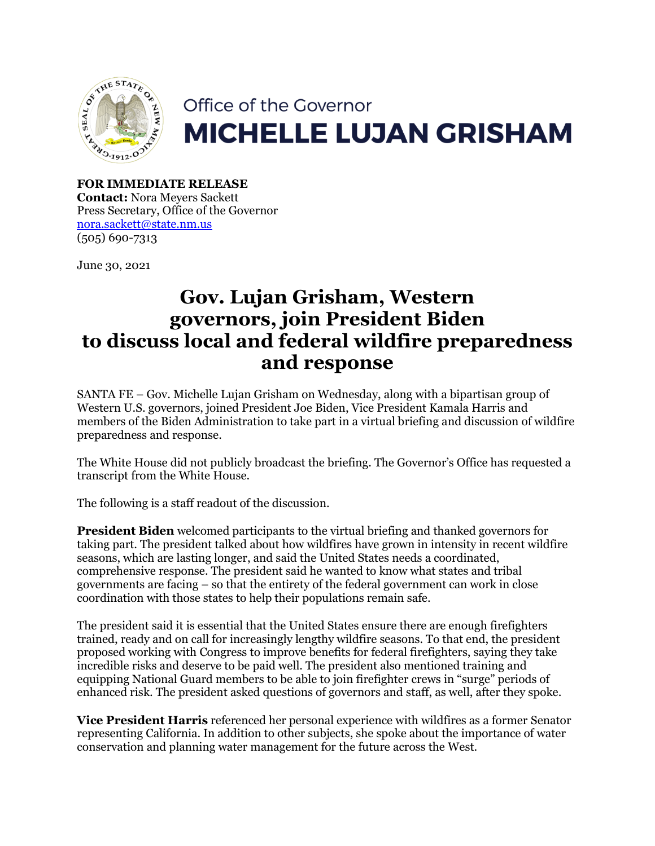

## Office of the Governor **MICHELLE LUJAN GRISHAM**

**FOR IMMEDIATE RELEASE Contact:** Nora Meyers Sackett Press Secretary, Office of the Governor [nora.sackett@state.nm.us](mailto:nora.sackett@state.nm.us) (505) 690-7313

June 30, 2021

## **Gov. Lujan Grisham, Western governors, join President Biden to discuss local and federal wildfire preparedness and response**

SANTA FE – Gov. Michelle Lujan Grisham on Wednesday, along with a bipartisan group of Western U.S. governors, joined President Joe Biden, Vice President Kamala Harris and members of the Biden Administration to take part in a virtual briefing and discussion of wildfire preparedness and response.

The White House did not publicly broadcast the briefing. The Governor's Office has requested a transcript from the White House.

The following is a staff readout of the discussion.

**President Biden** welcomed participants to the virtual briefing and thanked governors for taking part. The president talked about how wildfires have grown in intensity in recent wildfire seasons, which are lasting longer, and said the United States needs a coordinated, comprehensive response. The president said he wanted to know what states and tribal governments are facing – so that the entirety of the federal government can work in close coordination with those states to help their populations remain safe.

The president said it is essential that the United States ensure there are enough firefighters trained, ready and on call for increasingly lengthy wildfire seasons. To that end, the president proposed working with Congress to improve benefits for federal firefighters, saying they take incredible risks and deserve to be paid well. The president also mentioned training and equipping National Guard members to be able to join firefighter crews in "surge" periods of enhanced risk. The president asked questions of governors and staff, as well, after they spoke.

**Vice President Harris** referenced her personal experience with wildfires as a former Senator representing California. In addition to other subjects, she spoke about the importance of water conservation and planning water management for the future across the West.